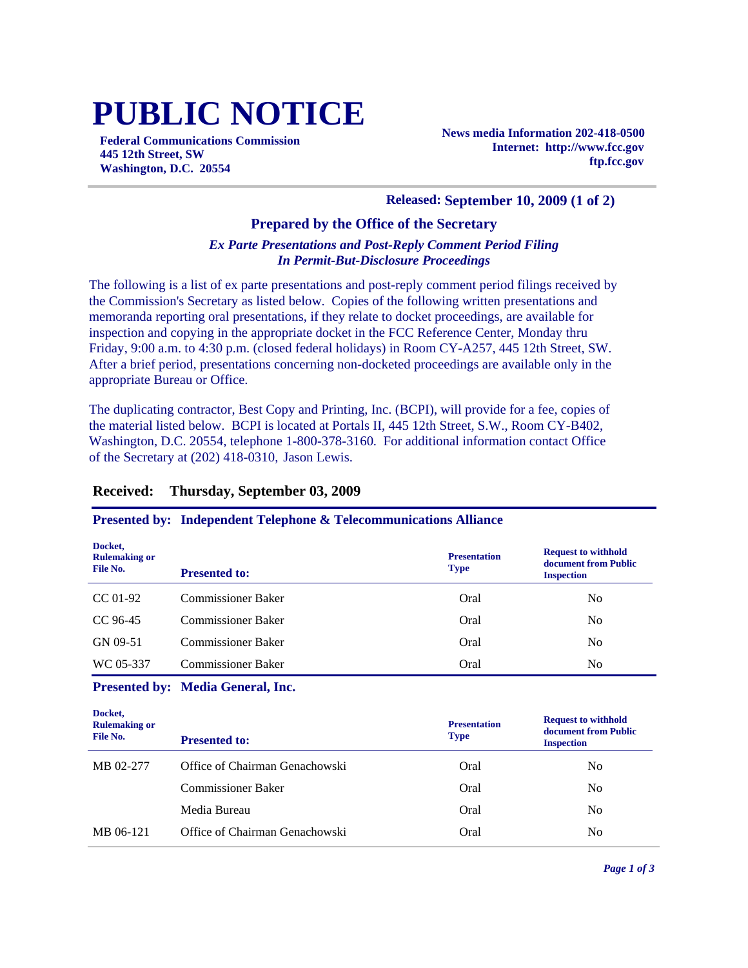# **PUBLIC NOTICE**

**Federal Communications Commission 445 12th Street, SW Washington, D.C. 20554**

**News media Information 202-418-0500 Internet: http://www.fcc.gov ftp.fcc.gov**

#### **Released: September 10, 2009 (1 of 2)**

#### **Prepared by the Office of the Secretary**

#### *Ex Parte Presentations and Post-Reply Comment Period Filing In Permit-But-Disclosure Proceedings*

The following is a list of ex parte presentations and post-reply comment period filings received by the Commission's Secretary as listed below. Copies of the following written presentations and memoranda reporting oral presentations, if they relate to docket proceedings, are available for inspection and copying in the appropriate docket in the FCC Reference Center, Monday thru Friday, 9:00 a.m. to 4:30 p.m. (closed federal holidays) in Room CY-A257, 445 12th Street, SW. After a brief period, presentations concerning non-docketed proceedings are available only in the appropriate Bureau or Office.

The duplicating contractor, Best Copy and Printing, Inc. (BCPI), will provide for a fee, copies of the material listed below. BCPI is located at Portals II, 445 12th Street, S.W., Room CY-B402, Washington, D.C. 20554, telephone 1-800-378-3160. For additional information contact Office of the Secretary at (202) 418-0310, Jason Lewis.

#### **Received: Thursday, September 03, 2009**

#### **Presented by: Independent Telephone & Telecommunications Alliance**

| Docket,<br><b>Rulemaking or</b><br>File No. | <b>Presented to:</b>      | <b>Presentation</b><br><b>Type</b> | <b>Request to withhold</b><br>document from Public<br><b>Inspection</b> |
|---------------------------------------------|---------------------------|------------------------------------|-------------------------------------------------------------------------|
| $CC 01-92$                                  | <b>Commissioner Baker</b> | Oral                               | N <sub>0</sub>                                                          |
| $CC96-45$                                   | <b>Commissioner Baker</b> | Oral                               | N <sub>0</sub>                                                          |
| GN 09-51                                    | <b>Commissioner Baker</b> | Oral                               | N <sub>0</sub>                                                          |
| WC 05-337                                   | <b>Commissioner Baker</b> | Oral                               | N <sub>0</sub>                                                          |

#### **Presented by: Media General, Inc.**

| Docket,<br><b>Rulemaking or</b><br>File No. | <b>Presented to:</b>           | <b>Presentation</b><br><b>Type</b> | <b>Request to withhold</b><br>document from Public<br><b>Inspection</b> |
|---------------------------------------------|--------------------------------|------------------------------------|-------------------------------------------------------------------------|
| MB 02-277                                   | Office of Chairman Genachowski | Oral                               | No                                                                      |
|                                             | <b>Commissioner Baker</b>      | Oral                               | No                                                                      |
|                                             | Media Bureau                   | Oral                               | N <sub>0</sub>                                                          |
| MB 06-121                                   | Office of Chairman Genachowski | Oral                               | No                                                                      |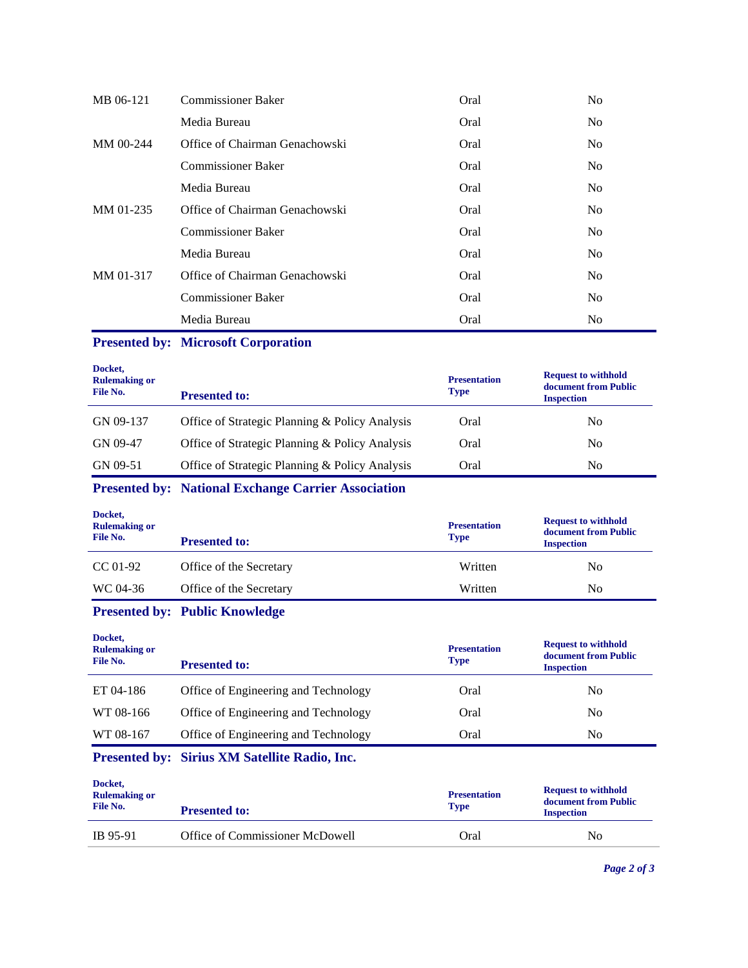| MB 06-121   | <b>Commissioner Baker</b>      | Oral | N <sub>o</sub> |
|-------------|--------------------------------|------|----------------|
|             | Media Bureau                   | Oral | No.            |
| $MM$ 00-244 | Office of Chairman Genachowski | Oral | No.            |
|             | <b>Commissioner Baker</b>      | Oral | No.            |
|             | Media Bureau                   | Oral | No.            |
| MM 01-235   | Office of Chairman Genachowski | Oral | No.            |
|             | <b>Commissioner Baker</b>      | Oral | No.            |
|             | Media Bureau                   | Oral | N <sub>o</sub> |
| MM 01-317   | Office of Chairman Genachowski | Oral | N <sub>0</sub> |
|             | <b>Commissioner Baker</b>      | Oral | No.            |
|             | Media Bureau                   | Oral | N <sub>0</sub> |

## **Presented by: Microsoft Corporation**

| Docket,<br><b>Rulemaking or</b><br>File No. | <b>Presented to:</b>                           | <b>Presentation</b><br><b>Type</b> | <b>Request to withhold</b><br>document from Public<br><b>Inspection</b> |
|---------------------------------------------|------------------------------------------------|------------------------------------|-------------------------------------------------------------------------|
| GN 09-137                                   | Office of Strategic Planning & Policy Analysis | Oral                               | No                                                                      |
| GN 09-47                                    | Office of Strategic Planning & Policy Analysis | Oral                               | No                                                                      |
| GN 09-51                                    | Office of Strategic Planning & Policy Analysis | Oral                               | No                                                                      |

## **Presented by: National Exchange Carrier Association**

| Docket,<br><b>Rulemaking or</b><br>File No. | <b>Presented to:</b>    | <b>Presentation</b><br><b>Type</b> | <b>Request to withhold</b><br>document from Public<br><b>Inspection</b> |
|---------------------------------------------|-------------------------|------------------------------------|-------------------------------------------------------------------------|
| $CC 01-92$                                  | Office of the Secretary | Written                            | No                                                                      |
| WC 04-36                                    | Office of the Secretary | Written                            | No                                                                      |

### **Presented by: Public Knowledge**

| Docket,<br><b>Rulemaking or</b><br>File No. | <b>Presented to:</b>                 | <b>Presentation</b><br><b>Type</b> | <b>Request to withhold</b><br>document from Public<br><b>Inspection</b> |
|---------------------------------------------|--------------------------------------|------------------------------------|-------------------------------------------------------------------------|
| ET 04-186                                   | Office of Engineering and Technology | Oral                               | No                                                                      |
| WT 08-166                                   | Office of Engineering and Technology | Oral                               | No                                                                      |
| WT 08-167                                   | Office of Engineering and Technology | Oral                               | No                                                                      |
|                                             |                                      |                                    |                                                                         |

## **Presented by: Sirius XM Satellite Radio, Inc.**

| <b>Presented to:</b>            | <b>Presentation</b><br><b>Type</b> | <b>Request to withhold</b><br>document from Public<br><b>Inspection</b> |
|---------------------------------|------------------------------------|-------------------------------------------------------------------------|
| Office of Commissioner McDowell | Oral                               | No                                                                      |
|                                 |                                    |                                                                         |